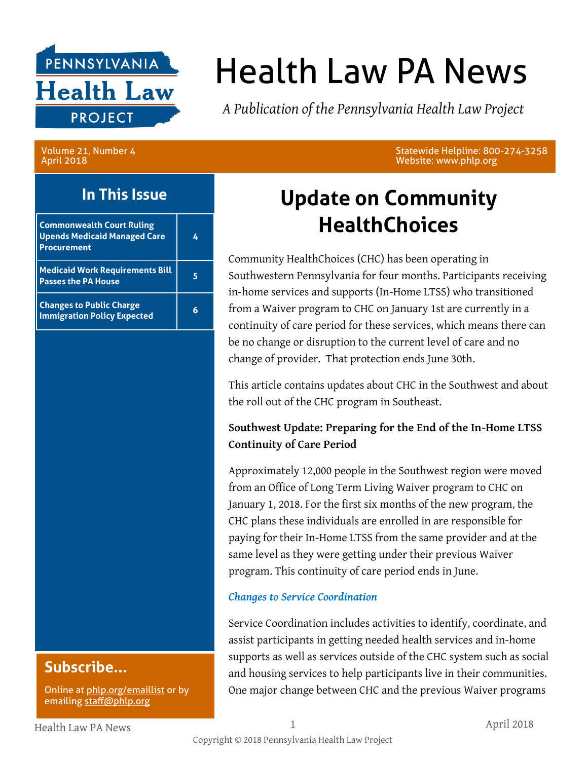

# Health Law PA News

*A Publication of the Pennsylvania Health Law Project*

Volume 21, Number 4 April 2018

### **In This Issue**

| <b>Commonwealth Court Ruling</b><br><b>Upends Medicaid Managed Care</b><br><b>Procurement</b> |  |
|-----------------------------------------------------------------------------------------------|--|
| <b>Medicaid Work Requirements Bill</b><br><b>Passes the PA House</b>                          |  |
| <b>Changes to Public Charge</b><br><b>Immigration Policy Expected</b>                         |  |

**Subscribe...**

Online at [phlp.org/emaillist](http://www.phlp.org/home-page/emaillist) or by emailing [staff@phlp.org](mailto:staff@phlp.org)

Statewide Helpline: 800-274-3258 Website: www.phlp.org

# **Update on Community HealthChoices**

Community HealthChoices (CHC) has been operating in Southwestern Pennsylvania for four months. Participants receiving in-home services and supports (In-Home LTSS) who transitioned from a Waiver program to CHC on January 1st are currently in a continuity of care period for these services, which means there can be no change or disruption to the current level of care and no change of provider. That protection ends June 30th.

This article contains updates about CHC in the Southwest and about the roll out of the CHC program in Southeast.

### **Southwest Update: Preparing for the End of the In-Home LTSS Continuity of Care Period**

Approximately 12,000 people in the Southwest region were moved from an Office of Long Term Living Waiver program to CHC on January 1, 2018. For the first six months of the new program, the CHC plans these individuals are enrolled in are responsible for paying for their In-Home LTSS from the same provider and at the same level as they were getting under their previous Waiver program. This continuity of care period ends in June.

### *Changes to Service Coordination*

Service Coordination includes activities to identify, coordinate, and assist participants in getting needed health services and in-home supports as well as services outside of the CHC system such as social and housing services to help participants live in their communities. One major change between CHC and the previous Waiver programs

Health Law PA News 1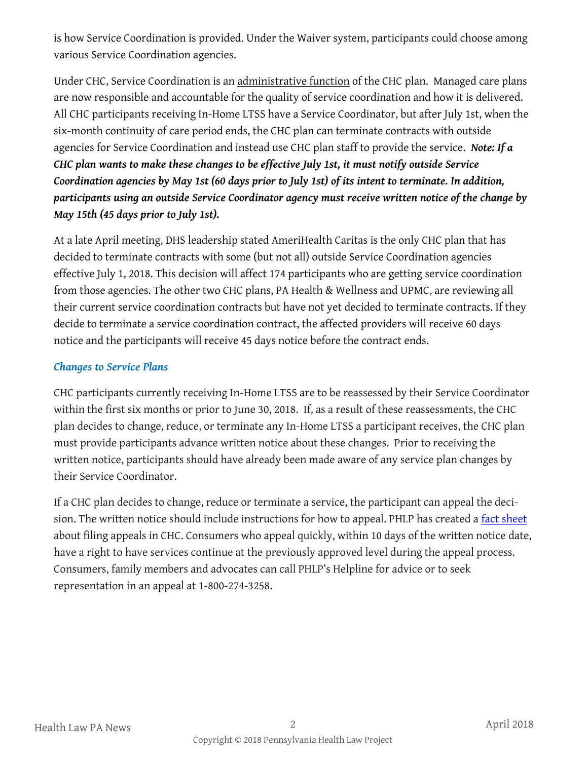is how Service Coordination is provided. Under the Waiver system, participants could choose among various Service Coordination agencies.

Under CHC, Service Coordination is an administrative function of the CHC plan. Managed care plans are now responsible and accountable for the quality of service coordination and how it is delivered. All CHC participants receiving In-Home LTSS have a Service Coordinator, but after July 1st, when the six-month continuity of care period ends, the CHC plan can terminate contracts with outside agencies for Service Coordination and instead use CHC plan staff to provide the service. *Note: If a CHC plan wants to make these changes to be effective July 1st, it must notify outside Service Coordination agencies by May 1st (60 days prior to July 1st) of its intent to terminate. In addition, participants using an outside Service Coordinator agency must receive written notice of the change by May 15th (45 days prior to July 1st).* 

At a late April meeting, DHS leadership stated AmeriHealth Caritas is the only CHC plan that has decided to terminate contracts with some (but not all) outside Service Coordination agencies effective July 1, 2018. This decision will affect 174 participants who are getting service coordination from those agencies. The other two CHC plans, PA Health & Wellness and UPMC, are reviewing all their current service coordination contracts but have not yet decided to terminate contracts. If they decide to terminate a service coordination contract, the affected providers will receive 60 days notice and the participants will receive 45 days notice before the contract ends.

### *Changes to Service Plans*

CHC participants currently receiving In-Home LTSS are to be reassessed by their Service Coordinator within the first six months or prior to June 30, 2018. If, as a result of these reassessments, the CHC plan decides to change, reduce, or terminate any In-Home LTSS a participant receives, the CHC plan must provide participants advance written notice about these changes. Prior to receiving the written notice, participants should have already been made aware of any service plan changes by their Service Coordinator.

If a CHC plan decides to change, reduce or terminate a service, the participant can appeal the decision. The written notice should include instructions for how to appeal. PHLP has created a [fact sheet](http://www.phlp.org/wp-content/uploads/2018/01/CHC-appeals-factsheet-1-2018.pdf) about filing appeals in CHC. Consumers who appeal quickly, within 10 days of the written notice date, have a right to have services continue at the previously approved level during the appeal process. Consumers, family members and advocates can call PHLP's Helpline for advice or to seek representation in an appeal at 1-800-274-3258.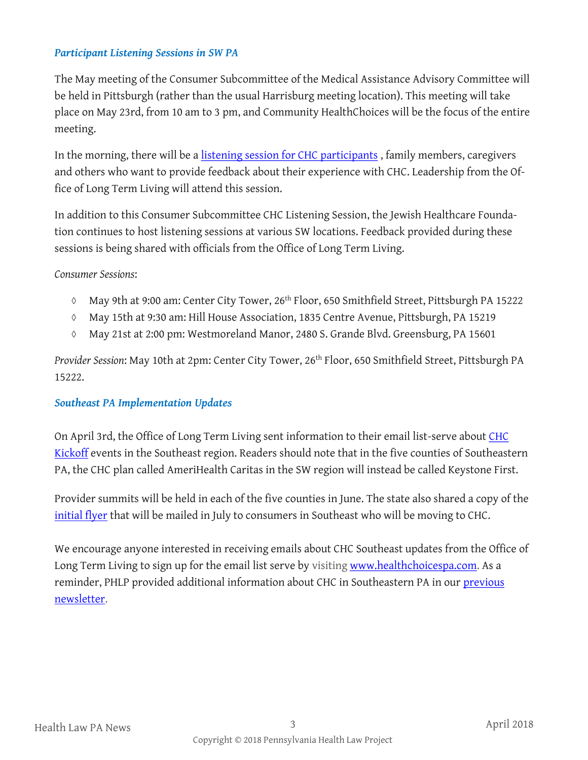#### *Participant Listening Sessions in SW PA*

The May meeting of the Consumer Subcommittee of the Medical Assistance Advisory Committee will be held in Pittsburgh (rather than the usual Harrisburg meeting location). This meeting will take place on May 23rd, from 10 am to 3 pm, and Community HealthChoices will be the focus of the entire meeting.

In the morning, there will be a [listening session for CHC participants](http://www.phlp.org/wp-content/uploads/2018/04/Consumer-Sub-CHC-Listening-Session-May-2018.pdf), family members, caregivers and others who want to provide feedback about their experience with CHC. Leadership from the Office of Long Term Living will attend this session.

In addition to this Consumer Subcommittee CHC Listening Session, the Jewish Healthcare Foundation continues to host listening sessions at various SW locations. Feedback provided during these sessions is being shared with officials from the Office of Long Term Living.

#### *Consumer Sessions*:

- May 9th at 9:00 am: Center City Tower, 26<sup>th</sup> Floor, 650 Smithfield Street, Pittsburgh PA 15222
- May 15th at 9:30 am: Hill House Association, 1835 Centre Avenue, Pittsburgh, PA 15219
- May 21st at 2:00 pm: Westmoreland Manor, 2480 S. Grande Blvd. Greensburg, PA 15601

*Provider Session*: May 10th at 2pm: Center City Tower, 26th Floor, 650 Smithfield Street, Pittsburgh PA 15222.

#### *Southeast PA Implementation Updates*

On April 3rd, the Office of Long Term Living sent information to their email list-serve about [CHC](https://s3-us-west-2.amazonaws.com/palms-awss3-repository/Communications/Commonwealth/2018/CHC+Southeast+Kickoff+Communication.pdf)  [Kickoff](https://s3-us-west-2.amazonaws.com/palms-awss3-repository/Communications/Commonwealth/2018/CHC+Southeast+Kickoff+Communication.pdf) events in the Southeast region. Readers should note that in the five counties of Southeastern PA, the CHC plan called AmeriHealth Caritas in the SW region will instead be called Keystone First.

Provider summits will be held in each of the five counties in June. The state also shared a copy of the [initial flyer](http://www.healthchoices.pa.gov/cs/groups/webcontent/documents/document/c_265478.pdf) that will be mailed in July to consumers in Southeast who will be moving to CHC.

We encourage anyone interested in receiving emails about CHC Southeast updates from the Office of Long Term Living to sign up for the email list serve by visiting [www.healthchoicespa.com.](http://www.healthchoicespa.com) As a reminder, PHLP provided additional information about CHC in Southeastern PA in our [previous](http://www.phlp.org/wp-content/uploads/2018/03/March-2018-HLN-Final.pdf)  [newsletter.](http://www.phlp.org/wp-content/uploads/2018/03/March-2018-HLN-Final.pdf)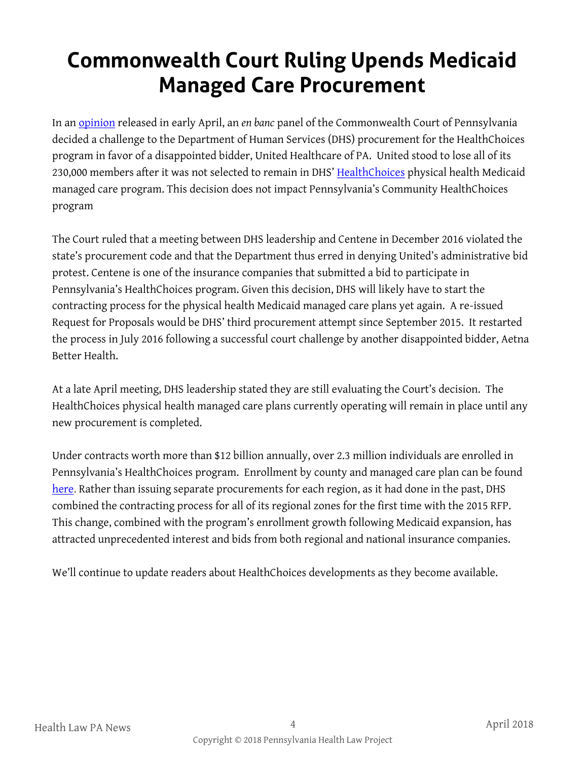# **Commonwealth Court Ruling Upends Medicaid Managed Care Procurement**

In an [opinion](http://www.pacourts.us/assets/opinions/Commonwealth/out/790CD17_4-10-18.pdf?cb=1) released in early April, an *en banc* panel of the Commonwealth Court of Pennsylvania decided a challenge to the Department of Human Services (DHS) procurement for the HealthChoices program in favor of a disappointed bidder, United Healthcare of PA. United stood to lose all of its 230,000 members after it was not selected to remain in DHS' [HealthChoices](http://www.healthchoices.pa.gov/info/about/) physical health Medicaid managed care program. This decision does not impact Pennsylvania's Community HealthChoices program

The Court ruled that a meeting between DHS leadership and Centene in December 2016 violated the state's procurement code and that the Department thus erred in denying United's administrative bid protest. Centene is one of the insurance companies that submitted a bid to participate in Pennsylvania's HealthChoices program. Given this decision, DHS will likely have to start the contracting process for the physical health Medicaid managed care plans yet again. A re-issued Request for Proposals would be DHS' third procurement attempt since September 2015. It restarted the process in July 2016 following a successful court challenge by another disappointed bidder, Aetna Better Health.

At a late April meeting, DHS leadership stated they are still evaluating the Court's decision. The HealthChoices physical health managed care plans currently operating will remain in place until any new procurement is completed.

Under contracts worth more than \$12 billion annually, over 2.3 million individuals are enrolled in Pennsylvania's HealthChoices program. Enrollment by county and managed care plan can be found [here.](http://www.dhs.pa.gov/cs/groups/webcontent/documents/document/c_272704.pdf) Rather than issuing separate procurements for each region, as it had done in the past, DHS combined the contracting process for all of its regional zones for the first time with the 2015 RFP. This change, combined with the program's enrollment growth following Medicaid expansion, has attracted unprecedented interest and bids from both regional and national insurance companies.

We'll continue to update readers about HealthChoices developments as they become available.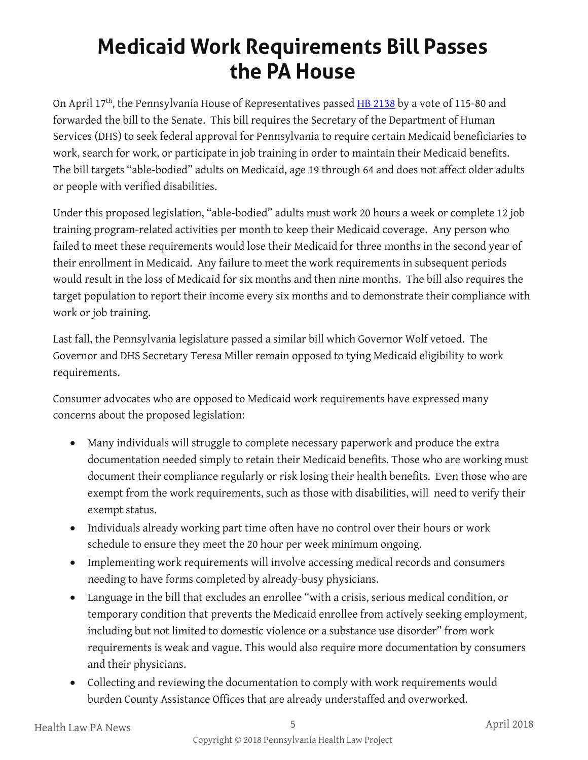# **Medicaid Work Requirements Bill Passes the PA House**

On April 17<sup>th</sup>, the Pennsylvania House of Representatives passed **[HB 2138](http://www.legis.state.pa.us/cfdocs/billinfo/billinfo.cfm?syear=2017&sInd=0&body=H&type=B&bn=2138)** by a vote of 115-80 and forwarded the bill to the Senate. This bill requires the Secretary of the Department of Human Services (DHS) to seek federal approval for Pennsylvania to require certain Medicaid beneficiaries to work, search for work, or participate in job training in order to maintain their Medicaid benefits. The bill targets "able-bodied" adults on Medicaid, age 19 through 64 and does not affect older adults or people with verified disabilities.

Under this proposed legislation, "able-bodied" adults must work 20 hours a week or complete 12 job training program-related activities per month to keep their Medicaid coverage. Any person who failed to meet these requirements would lose their Medicaid for three months in the second year of their enrollment in Medicaid. Any failure to meet the work requirements in subsequent periods would result in the loss of Medicaid for six months and then nine months. The bill also requires the target population to report their income every six months and to demonstrate their compliance with work or job training.

Last fall, the Pennsylvania legislature passed a similar bill which Governor Wolf vetoed. The Governor and DHS Secretary Teresa Miller remain opposed to tying Medicaid eligibility to work requirements.

Consumer advocates who are opposed to Medicaid work requirements have expressed many concerns about the proposed legislation:

- Many individuals will struggle to complete necessary paperwork and produce the extra documentation needed simply to retain their Medicaid benefits. Those who are working must document their compliance regularly or risk losing their health benefits. Even those who are exempt from the work requirements, such as those with disabilities, will need to verify their exempt status.
- Individuals already working part time often have no control over their hours or work schedule to ensure they meet the 20 hour per week minimum ongoing.
- Implementing work requirements will involve accessing medical records and consumers needing to have forms completed by already-busy physicians.
- Language in the bill that excludes an enrollee "with a crisis, serious medical condition, or temporary condition that prevents the Medicaid enrollee from actively seeking employment, including but not limited to domestic violence or a substance use disorder" from work requirements is weak and vague. This would also require more documentation by consumers and their physicians.
- Collecting and reviewing the documentation to comply with work requirements would burden County Assistance Offices that are already understaffed and overworked.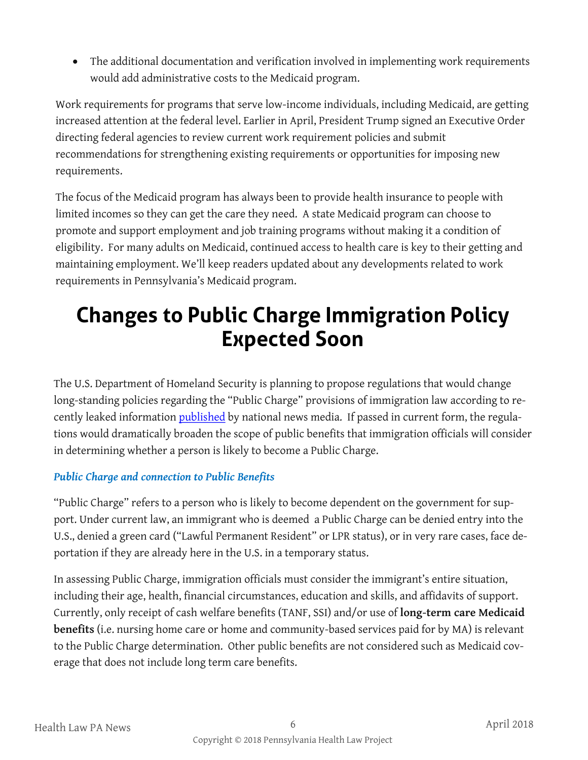• The additional documentation and verification involved in implementing work requirements would add administrative costs to the Medicaid program.

Work requirements for programs that serve low-income individuals, including Medicaid, are getting increased attention at the federal level. Earlier in April, President Trump signed an Executive Order directing federal agencies to review current work requirement policies and submit recommendations for strengthening existing requirements or opportunities for imposing new requirements.

The focus of the Medicaid program has always been to provide health insurance to people with limited incomes so they can get the care they need. A state Medicaid program can choose to promote and support employment and job training programs without making it a condition of eligibility. For many adults on Medicaid, continued access to health care is key to their getting and maintaining employment. We'll keep readers updated about any developments related to work requirements in Pennsylvania's Medicaid program.

## **Changes to Public Charge Immigration Policy Expected Soon**

The U.S. Department of Homeland Security is planning to propose regulations that would change long-standing policies regarding the "Public Charge" provisions of immigration law according to recently leaked information [published](https://www.washingtonpost.com/world/national-security/trump-proposal-would-penalize-immigrants-who-use-tax-credits-and-other-benefits/2018/03/28/4c6392e0-2924-11e8-bc72-077aa4dab9ef_story.html?noredirect=on&utm_term=.6f9c09efa29d) by national news media. If passed in current form, the regulations would dramatically broaden the scope of public benefits that immigration officials will consider in determining whether a person is likely to become a Public Charge.

### *Public Charge and connection to Public Benefits*

"Public Charge" refers to a person who is likely to become dependent on the government for support. Under current law, an immigrant who is deemed a Public Charge can be denied entry into the U.S., denied a green card ("Lawful Permanent Resident" or LPR status), or in very rare cases, face deportation if they are already here in the U.S. in a temporary status.

In assessing Public Charge, immigration officials must consider the immigrant's entire situation, including their age, health, financial circumstances, education and skills, and affidavits of support. Currently, only receipt of cash welfare benefits (TANF, SSI) and/or use of **long-term care Medicaid benefits** (i.e. nursing home care or home and community-based services paid for by MA) is relevant to the Public Charge determination. Other public benefits are not considered such as Medicaid coverage that does not include long term care benefits.